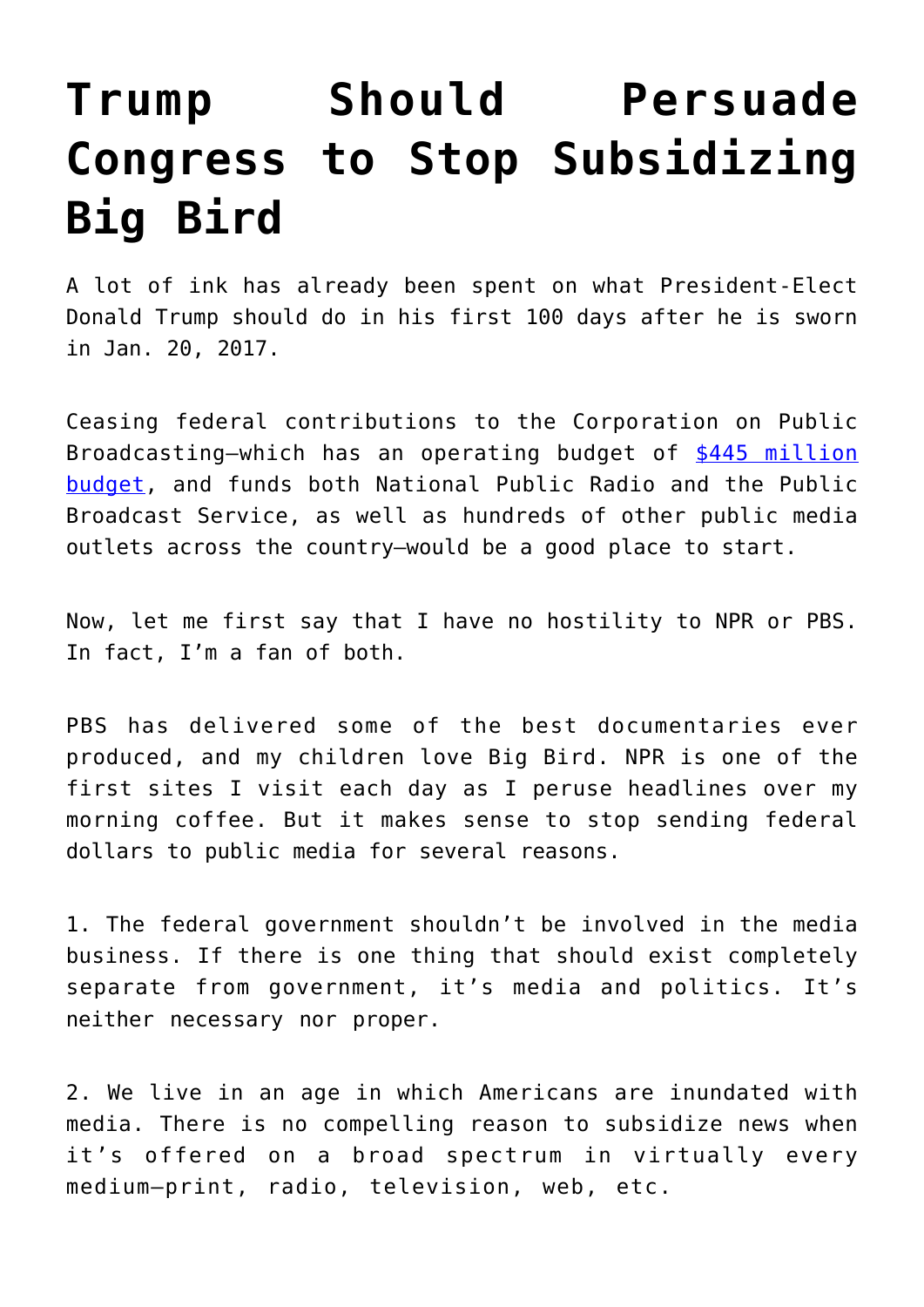## **[Trump Should Persuade](https://intellectualtakeout.org/2016/11/trump-should-persuade-congress-to-stop-subsidizing-big-bird/) [Congress to Stop Subsidizing](https://intellectualtakeout.org/2016/11/trump-should-persuade-congress-to-stop-subsidizing-big-bird/) [Big Bird](https://intellectualtakeout.org/2016/11/trump-should-persuade-congress-to-stop-subsidizing-big-bird/)**

A lot of ink has already been spent on what President-Elect Donald Trump should do in his first 100 days after he is sworn in Jan. 20, 2017.

Ceasing federal contributions to the Corporation on Public Broadcasting—which has an operating budget of [\\$445 million](http://www.cpb.org/aboutcpb/financials/budget) [budget,](http://www.cpb.org/aboutcpb/financials/budget) and funds both National Public Radio and the Public Broadcast Service, as well as hundreds of other public media outlets across the country—would be a good place to start.

Now, let me first say that I have no hostility to NPR or PBS. In fact, I'm a fan of both.

PBS has delivered some of the best documentaries ever produced, and my children love Big Bird. NPR is one of the first sites I visit each day as I peruse headlines over my morning coffee. But it makes sense to stop sending federal dollars to public media for several reasons.

1. The federal government shouldn't be involved in the media business. If there is one thing that should exist completely separate from government, it's media and politics. It's neither necessary nor proper.

2. We live in an age in which Americans are inundated with media. There is no compelling reason to subsidize news when it's offered on a broad spectrum in virtually every medium—print, radio, television, web, etc.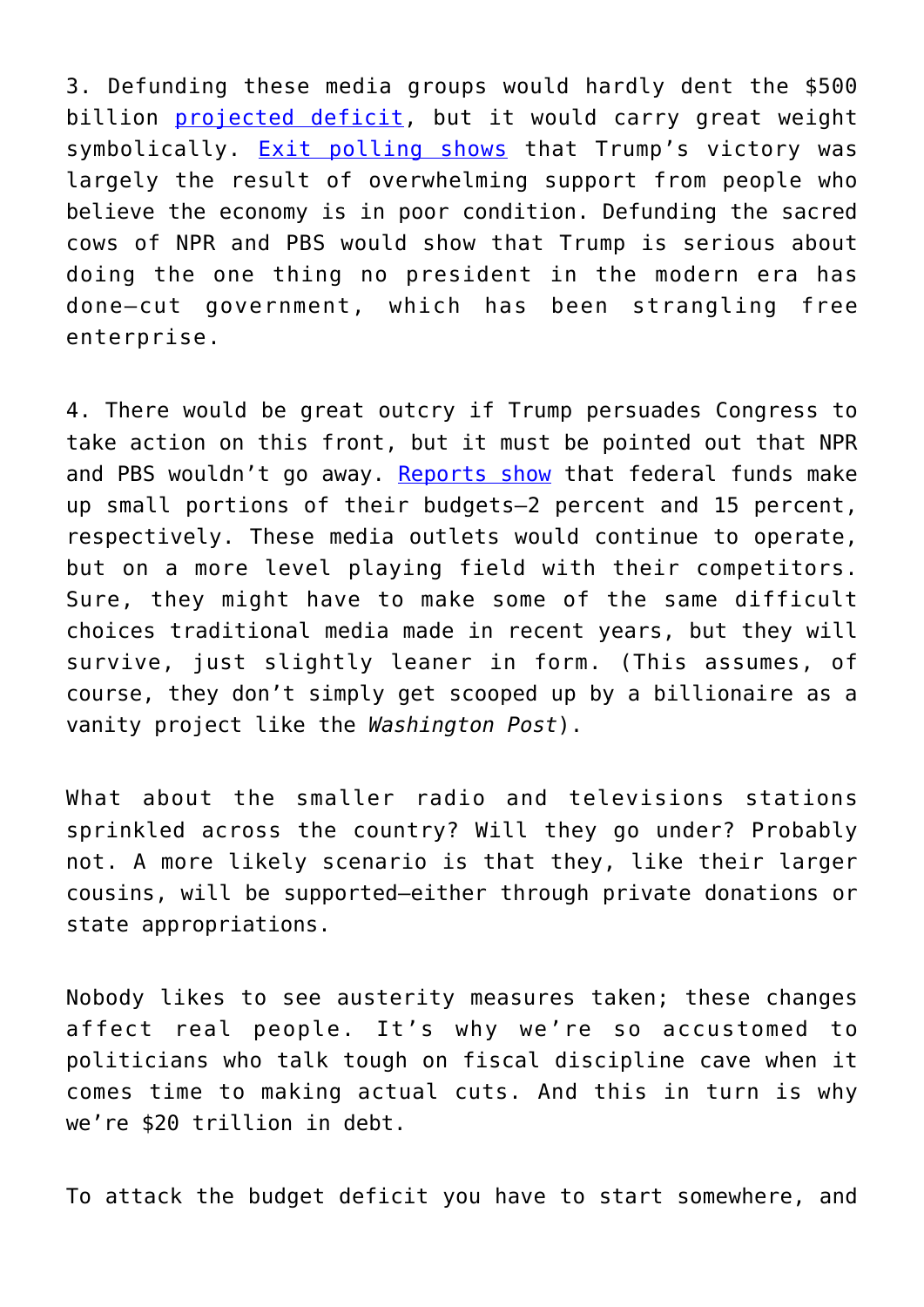3. Defunding these media groups would hardly dent the \$500 billion [projected deficit,](http://federal-budget.insidegov.com/l/120/2017-Estimate) but it would carry great weight symbolically. [Exit polling shows](https://www.nytimes.com/interactive/2016/11/08/us/politics/election-exit-polls.html?_r=2&mtrref=www.dailykos.com&gwh=B7D78D8140A3528AD319EF7F8DFD4ED7&gwt=pay) that Trump's victory was largely the result of overwhelming support from people who believe the economy is in poor condition. Defunding the sacred cows of NPR and PBS would show that Trump is serious about doing the one thing no president in the modern era has done—cut government, which has been strangling free enterprise.

4. There would be great outcry if Trump persuades Congress to take action on this front, but it must be pointed out that NPR and PBS wouldn't go away. [Reports show](https://www.washingtonpost.com/news/wonk/wp/2012/10/10/why-exactly-should-the-government-fund-pbs-and-npr/) that federal funds make up small portions of their budgets—2 percent and 15 percent, respectively. These media outlets would continue to operate, but on a more level playing field with their competitors. Sure, they might have to make some of the same difficult choices traditional media made in recent years, but they will survive, just slightly leaner in form. (This assumes, of course, they don't simply get scooped up by a billionaire as a vanity project like the *Washington Post*).

What about the smaller radio and televisions stations sprinkled across the country? Will they go under? Probably not. A more likely scenario is that they, like their larger cousins, will be supported—either through private donations or state appropriations.

Nobody likes to see austerity measures taken; these changes affect real people. It's why we're so accustomed to politicians who talk tough on fiscal discipline cave when it comes time to making actual cuts. And this in turn is why we're \$20 trillion in debt.

To attack the budget deficit you have to start somewhere, and